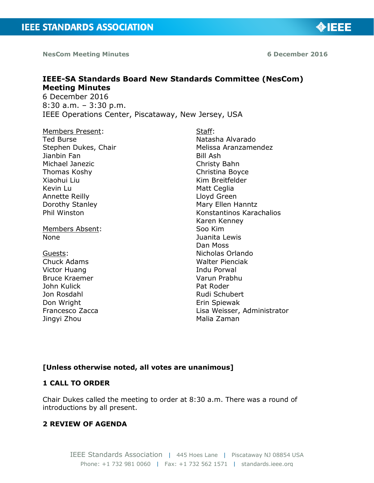**NesCom Meeting Minutes 6 December 2016**

◈IEEE

# **IEEE-SA Standards Board New Standards Committee (NesCom) Meeting Minutes**

6 December 2016 8:30 a.m. – 3:30 p.m. IEEE Operations Center, Piscataway, New Jersey, USA

Members Present: Ted Burse Stephen Dukes, Chair Jianbin Fan Michael Janezic Thomas Koshy Xiaohui Liu Kevin Lu Annette Reilly Dorothy Stanley Phil Winston

Members Absent: None

Guests: Chuck Adams Victor Huang Bruce Kraemer John Kulick Jon Rosdahl Don Wright Francesco Zacca Jingyi Zhou

Staff: Natasha Alvarado Melissa Aranzamendez Bill Ash Christy Bahn Christina Boyce Kim Breitfelder Matt Ceglia Lloyd Green Mary Ellen Hanntz Konstantinos Karachalios Karen Kenney Soo Kim Juanita Lewis Dan Moss Nicholas Orlando Walter Pienciak Indu Porwal Varun Prabhu Pat Roder Rudi Schubert Erin Spiewak Lisa Weisser, Administrator Malia Zaman

# **[Unless otherwise noted, all votes are unanimous]**

# **1 CALL TO ORDER**

Chair Dukes called the meeting to order at 8:30 a.m. There was a round of introductions by all present.

# **2 REVIEW OF AGENDA**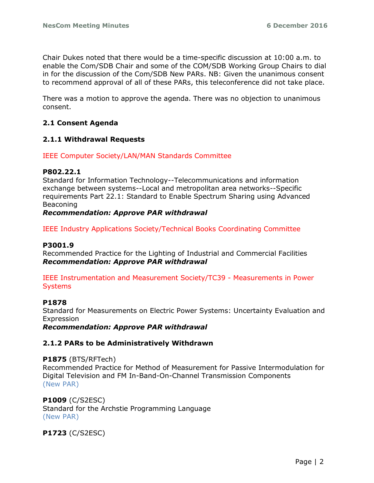Chair Dukes noted that there would be a time-specific discussion at 10:00 a.m. to enable the Com/SDB Chair and some of the COM/SDB Working Group Chairs to dial in for the discussion of the Com/SDB New PARs. NB: Given the unanimous consent to recommend approval of all of these PARs, this teleconference did not take place.

There was a motion to approve the agenda. There was no objection to unanimous consent.

# **2.1 Consent Agenda**

# **2.1.1 Withdrawal Requests**

# IEEE Computer Society/LAN/MAN Standards Committee

#### **P802.22.1**

Standard for Information Technology--Telecommunications and information exchange between systems--Local and metropolitan area networks--Specific requirements Part 22.1: Standard to Enable Spectrum Sharing using Advanced Beaconing

# *Recommendation: Approve PAR withdrawal*

IEEE Industry Applications Society/Technical Books Coordinating Committee

# **P3001.9**

Recommended Practice for the Lighting of Industrial and Commercial Facilities *Recommendation: Approve PAR withdrawal*

IEEE Instrumentation and Measurement Society/TC39 - Measurements in Power **Systems** 

#### **P1878**

Standard for Measurements on Electric Power Systems: Uncertainty Evaluation and **Expression** 

*Recommendation: Approve PAR withdrawal*

#### **2.1.2 PARs to be Administratively Withdrawn**

**P1875** (BTS/RFTech) Recommended Practice for Method of Measurement for Passive Intermodulation for Digital Television and FM In-Band-On-Channel Transmission Components (New PAR)

# **P1009** (C/S2ESC)

Standard for the Archstie Programming Language (New PAR)

**P1723** (C/S2ESC)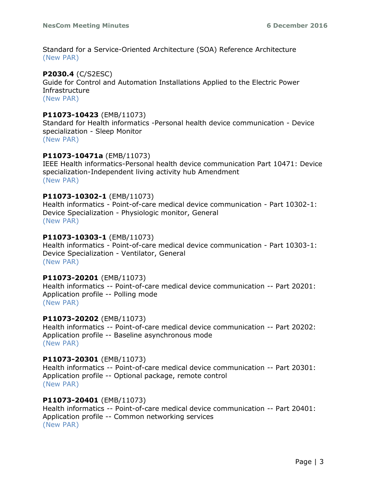Standard for a Service-Oriented Architecture (SOA) Reference Architecture (New PAR)

# **P2030.4** (C/S2ESC)

Guide for Control and Automation Installations Applied to the Electric Power **Infrastructure** (New PAR)

# **P11073-10423** (EMB/11073)

Standard for Health informatics -Personal health device communication - Device specialization - Sleep Monitor (New PAR)

# **P11073-10471a** (EMB/11073)

IEEE Health informatics-Personal health device communication Part 10471: Device specialization-Independent living activity hub Amendment (New PAR)

# **P11073-10302-1** (EMB/11073)

Health informatics - Point-of-care medical device communication - Part 10302-1: Device Specialization - Physiologic monitor, General (New PAR)

# **P11073-10303-1** (EMB/11073)

Health informatics - Point-of-care medical device communication - Part 10303-1: Device Specialization - Ventilator, General (New PAR)

# **P11073-20201** (EMB/11073)

Health informatics -- Point-of-care medical device communication -- Part 20201: Application profile -- Polling mode (New PAR)

# **P11073-20202** (EMB/11073)

Health informatics -- Point-of-care medical device communication -- Part 20202: Application profile -- Baseline asynchronous mode (New PAR)

# **P11073-20301** (EMB/11073)

Health informatics -- Point-of-care medical device communication -- Part 20301: Application profile -- Optional package, remote control (New PAR)

# **P11073-20401** (EMB/11073)

Health informatics -- Point-of-care medical device communication -- Part 20401: Application profile -- Common networking services (New PAR)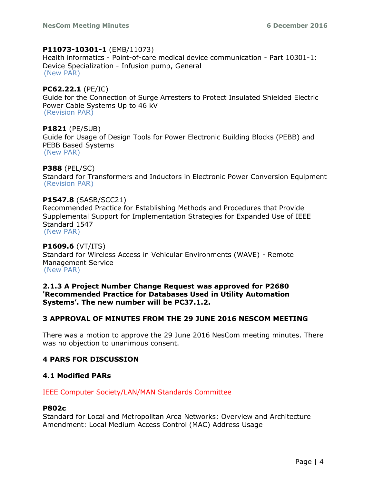#### **P11073-10301-1** (EMB/11073)

Health informatics - Point-of-care medical device communication - Part 10301-1: Device Specialization - Infusion pump, General (New PAR)

**PC62.22.1** (PE/IC) Guide for the Connection of Surge Arresters to Protect Insulated Shielded Electric Power Cable Systems Up to 46 kV (Revision PAR)

**P1821** (PE/SUB) Guide for Usage of Design Tools for Power Electronic Building Blocks (PEBB) and PEBB Based Systems (New PAR)

# **P388** (PEL/SC)

Standard for Transformers and Inductors in Electronic Power Conversion Equipment (Revision PAR)

# **P1547.8** (SASB/SCC21)

Recommended Practice for Establishing Methods and Procedures that Provide Supplemental Support for Implementation Strategies for Expanded Use of IEEE Standard 1547 (New PAR)

**P1609.6** (VT/ITS) Standard for Wireless Access in Vehicular Environments (WAVE) - Remote Management Service (New PAR)

# **2.1.3 A Project Number Change Request was approved for P2680 'Recommended Practice for Databases Used in Utility Automation Systems'. The new number will be PC37.1.2.**

# **3 APPROVAL OF MINUTES FROM THE 29 JUNE 2016 NESCOM MEETING**

There was a motion to approve the 29 June 2016 NesCom meeting minutes. There was no objection to unanimous consent.

# **4 PARS FOR DISCUSSION**

# **4.1 Modified PARs**

# IEEE Computer Society/LAN/MAN Standards Committee

#### **P802c**

Standard for Local and Metropolitan Area Networks: Overview and Architecture Amendment: Local Medium Access Control (MAC) Address Usage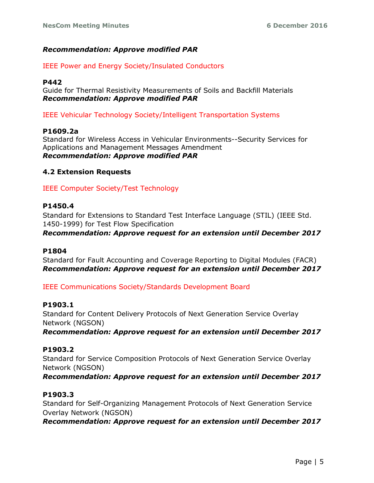# *Recommendation: Approve modified PAR*

# IEEE Power and Energy Society/Insulated Conductors

# **P442**

Guide for Thermal Resistivity Measurements of Soils and Backfill Materials *Recommendation: Approve modified PAR*

IEEE Vehicular Technology Society/Intelligent Transportation Systems

# **P1609.2a**

Standard for Wireless Access in Vehicular Environments--Security Services for Applications and Management Messages Amendment *Recommendation: Approve modified PAR*

# **4.2 Extension Requests**

IEEE Computer Society/Test Technology

# **P1450.4**

Standard for Extensions to Standard Test Interface Language (STIL) (IEEE Std. 1450-1999) for Test Flow Specification *Recommendation: Approve request for an extension until December 2017*

# **P1804**

Standard for Fault Accounting and Coverage Reporting to Digital Modules (FACR) *Recommendation: Approve request for an extension until December 2017*

# IEEE Communications Society/Standards Development Board

# **P1903.1**

Standard for Content Delivery Protocols of Next Generation Service Overlay Network (NGSON)

*Recommendation: Approve request for an extension until December 2017*

# **P1903.2**

Standard for Service Composition Protocols of Next Generation Service Overlay Network (NGSON)

*Recommendation: Approve request for an extension until December 2017*

# **P1903.3**

Standard for Self-Organizing Management Protocols of Next Generation Service Overlay Network (NGSON)

*Recommendation: Approve request for an extension until December 2017*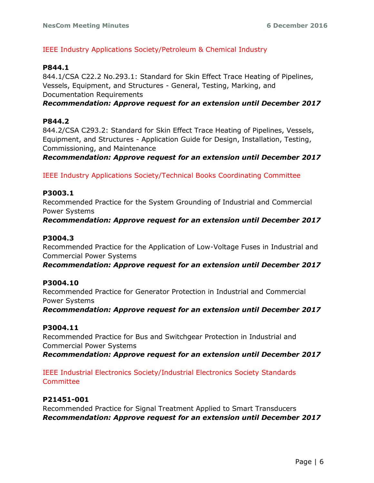# IEEE Industry Applications Society/Petroleum & Chemical Industry

# **P844.1**

844.1/CSA C22.2 No.293.1: Standard for Skin Effect Trace Heating of Pipelines, Vessels, Equipment, and Structures - General, Testing, Marking, and Documentation Requirements

*Recommendation: Approve request for an extension until December 2017*

# **P844.2**

844.2/CSA C293.2: Standard for Skin Effect Trace Heating of Pipelines, Vessels, Equipment, and Structures - Application Guide for Design, Installation, Testing, Commissioning, and Maintenance

*Recommendation: Approve request for an extension until December 2017*

IEEE Industry Applications Society/Technical Books Coordinating Committee

# **P3003.1**

Recommended Practice for the System Grounding of Industrial and Commercial Power Systems

# *Recommendation: Approve request for an extension until December 2017*

# **P3004.3**

Recommended Practice for the Application of Low-Voltage Fuses in Industrial and Commercial Power Systems

*Recommendation: Approve request for an extension until December 2017*

# **P3004.10**

Recommended Practice for Generator Protection in Industrial and Commercial Power Systems

*Recommendation: Approve request for an extension until December 2017*

# **P3004.11**

Recommended Practice for Bus and Switchgear Protection in Industrial and Commercial Power Systems

*Recommendation: Approve request for an extension until December 2017*

IEEE Industrial Electronics Society/Industrial Electronics Society Standards Committee

# **P21451-001**

Recommended Practice for Signal Treatment Applied to Smart Transducers *Recommendation: Approve request for an extension until December 2017*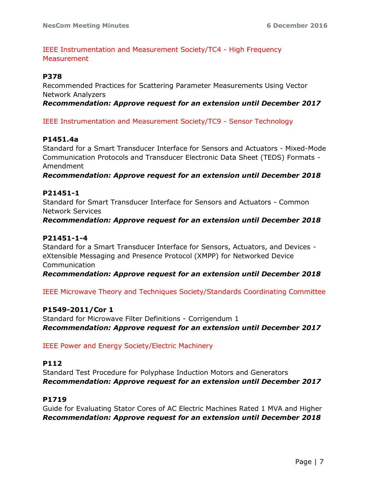IEEE Instrumentation and Measurement Society/TC4 - High Frequency **Measurement** 

# **P378**

Recommended Practices for Scattering Parameter Measurements Using Vector Network Analyzers *Recommendation: Approve request for an extension until December 2017*

IEEE Instrumentation and Measurement Society/TC9 - Sensor Technology

# **P1451.4a**

Standard for a Smart Transducer Interface for Sensors and Actuators - Mixed-Mode Communication Protocols and Transducer Electronic Data Sheet (TEDS) Formats - Amendment

*Recommendation: Approve request for an extension until December 2018*

# **P21451-1**

Standard for Smart Transducer Interface for Sensors and Actuators - Common Network Services

# *Recommendation: Approve request for an extension until December 2018*

# **P21451-1-4**

Standard for a Smart Transducer Interface for Sensors, Actuators, and Devices eXtensible Messaging and Presence Protocol (XMPP) for Networked Device Communication

*Recommendation: Approve request for an extension until December 2018*

IEEE Microwave Theory and Techniques Society/Standards Coordinating Committee

# **P1549-2011/Cor 1**

Standard for Microwave Filter Definitions - Corrigendum 1 *Recommendation: Approve request for an extension until December 2017*

# IEEE Power and Energy Society/Electric Machinery

# **P112**

Standard Test Procedure for Polyphase Induction Motors and Generators *Recommendation: Approve request for an extension until December 2017*

# **P1719**

Guide for Evaluating Stator Cores of AC Electric Machines Rated 1 MVA and Higher *Recommendation: Approve request for an extension until December 2018*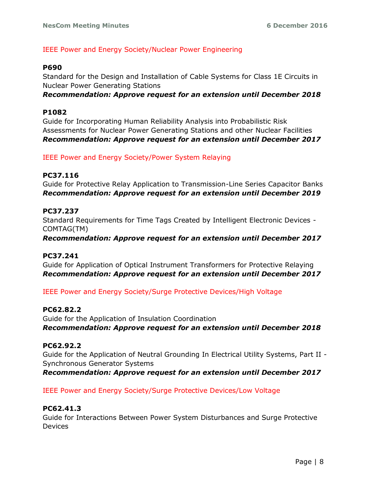# IEEE Power and Energy Society/Nuclear Power Engineering

# **P690**

Standard for the Design and Installation of Cable Systems for Class 1E Circuits in Nuclear Power Generating Stations

*Recommendation: Approve request for an extension until December 2018*

# **P1082**

Guide for Incorporating Human Reliability Analysis into Probabilistic Risk Assessments for Nuclear Power Generating Stations and other Nuclear Facilities *Recommendation: Approve request for an extension until December 2017*

IEEE Power and Energy Society/Power System Relaying

# **PC37.116**

Guide for Protective Relay Application to Transmission-Line Series Capacitor Banks *Recommendation: Approve request for an extension until December 2019*

# **PC37.237**

Standard Requirements for Time Tags Created by Intelligent Electronic Devices - COMTAG(TM)

*Recommendation: Approve request for an extension until December 2017*

# **PC37.241**

Guide for Application of Optical Instrument Transformers for Protective Relaying *Recommendation: Approve request for an extension until December 2017*

IEEE Power and Energy Society/Surge Protective Devices/High Voltage

# **PC62.82.2**

Guide for the Application of Insulation Coordination *Recommendation: Approve request for an extension until December 2018*

# **PC62.92.2**

Guide for the Application of Neutral Grounding In Electrical Utility Systems, Part II - Synchronous Generator Systems

*Recommendation: Approve request for an extension until December 2017*

# IEEE Power and Energy Society/Surge Protective Devices/Low Voltage

# **PC62.41.3**

Guide for Interactions Between Power System Disturbances and Surge Protective **Devices**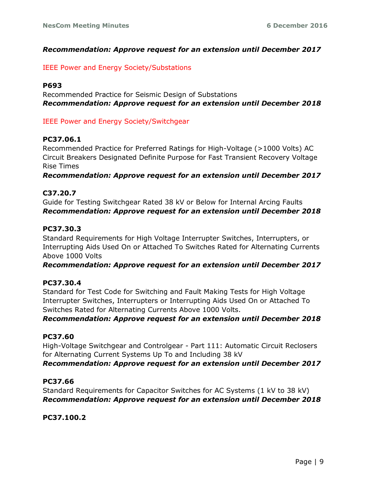# *Recommendation: Approve request for an extension until December 2017*

## IEEE Power and Energy Society/Substations

# **P693**

Recommended Practice for Seismic Design of Substations *Recommendation: Approve request for an extension until December 2018*

IEEE Power and Energy Society/Switchgear

# **PC37.06.1**

Recommended Practice for Preferred Ratings for High-Voltage (>1000 Volts) AC Circuit Breakers Designated Definite Purpose for Fast Transient Recovery Voltage Rise Times

*Recommendation: Approve request for an extension until December 2017*

#### **C37.20.7**

Guide for Testing Switchgear Rated 38 kV or Below for Internal Arcing Faults *Recommendation: Approve request for an extension until December 2018*

# **PC37.30.3**

Standard Requirements for High Voltage Interrupter Switches, Interrupters, or Interrupting Aids Used On or Attached To Switches Rated for Alternating Currents Above 1000 Volts

*Recommendation: Approve request for an extension until December 2017*

# **PC37.30.4**

Standard for Test Code for Switching and Fault Making Tests for High Voltage Interrupter Switches, Interrupters or Interrupting Aids Used On or Attached To Switches Rated for Alternating Currents Above 1000 Volts.

*Recommendation: Approve request for an extension until December 2018*

# **PC37.60**

High-Voltage Switchgear and Controlgear - Part 111: Automatic Circuit Reclosers for Alternating Current Systems Up To and Including 38 kV *Recommendation: Approve request for an extension until December 2017*

# **PC37.66**

Standard Requirements for Capacitor Switches for AC Systems (1 kV to 38 kV) *Recommendation: Approve request for an extension until December 2018*

**PC37.100.2**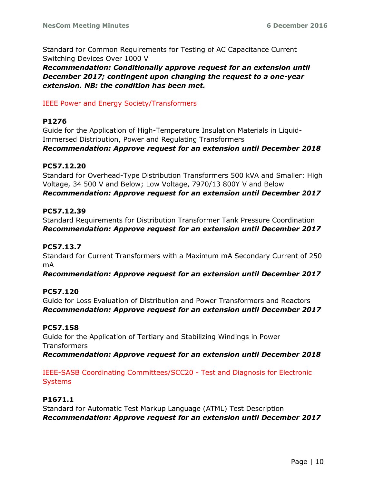Standard for Common Requirements for Testing of AC Capacitance Current Switching Devices Over 1000 V

*Recommendation: Conditionally approve request for an extension until December 2017; contingent upon changing the request to a one-year extension. NB: the condition has been met.*

# IEEE Power and Energy Society/Transformers

# **P1276**

Guide for the Application of High-Temperature Insulation Materials in Liquid-Immersed Distribution, Power and Regulating Transformers *Recommendation: Approve request for an extension until December 2018*

# **PC57.12.20**

Standard for Overhead-Type Distribution Transformers 500 kVA and Smaller: High Voltage, 34 500 V and Below; Low Voltage, 7970/13 800Y V and Below *Recommendation: Approve request for an extension until December 2017*

# **PC57.12.39**

Standard Requirements for Distribution Transformer Tank Pressure Coordination *Recommendation: Approve request for an extension until December 2017*

# **PC57.13.7**

Standard for Current Transformers with a Maximum mA Secondary Current of 250 mA

*Recommendation: Approve request for an extension until December 2017*

# **PC57.120**

Guide for Loss Evaluation of Distribution and Power Transformers and Reactors *Recommendation: Approve request for an extension until December 2017*

# **PC57.158**

Guide for the Application of Tertiary and Stabilizing Windings in Power **Transformers** *Recommendation: Approve request for an extension until December 2018*

# IEEE-SASB Coordinating Committees/SCC20 - Test and Diagnosis for Electronic Systems

# **P1671.1**

Standard for Automatic Test Markup Language (ATML) Test Description *Recommendation: Approve request for an extension until December 2017*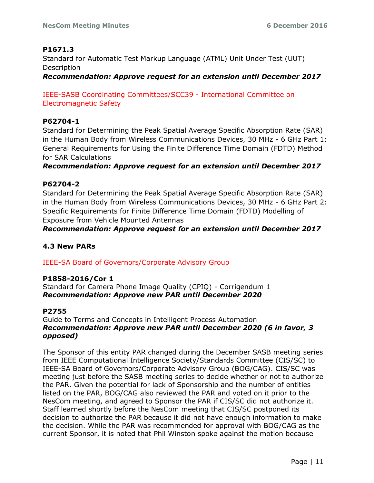# **P1671.3**

Standard for Automatic Test Markup Language (ATML) Unit Under Test (UUT) Description

*Recommendation: Approve request for an extension until December 2017*

IEEE-SASB Coordinating Committees/SCC39 - International Committee on Electromagnetic Safety

# **P62704-1**

Standard for Determining the Peak Spatial Average Specific Absorption Rate (SAR) in the Human Body from Wireless Communications Devices, 30 MHz - 6 GHz Part 1: General Requirements for Using the Finite Difference Time Domain (FDTD) Method for SAR Calculations

*Recommendation: Approve request for an extension until December 2017*

# **P62704-2**

Standard for Determining the Peak Spatial Average Specific Absorption Rate (SAR) in the Human Body from Wireless Communications Devices, 30 MHz - 6 GHz Part 2: Specific Requirements for Finite Difference Time Domain (FDTD) Modelling of Exposure from Vehicle Mounted Antennas

*Recommendation: Approve request for an extension until December 2017*

# **4.3 New PARs**

IEEE-SA Board of Governors/Corporate Advisory Group

# **P1858-2016/Cor 1**

Standard for Camera Phone Image Quality (CPIQ) - Corrigendum 1 *Recommendation: Approve new PAR until December 2020*

# **P2755**

Guide to Terms and Concepts in Intelligent Process Automation *Recommendation: Approve new PAR until December 2020 (6 in favor, 3 opposed)*

The Sponsor of this entity PAR changed during the December SASB meeting series from IEEE Computational Intelligence Society/Standards Committee (CIS/SC) to IEEE-SA Board of Governors/Corporate Advisory Group (BOG/CAG). CIS/SC was meeting just before the SASB meeting series to decide whether or not to authorize the PAR. Given the potential for lack of Sponsorship and the number of entities listed on the PAR, BOG/CAG also reviewed the PAR and voted on it prior to the NesCom meeting, and agreed to Sponsor the PAR if CIS/SC did not authorize it. Staff learned shortly before the NesCom meeting that CIS/SC postponed its decision to authorize the PAR because it did not have enough information to make the decision. While the PAR was recommended for approval with BOG/CAG as the current Sponsor, it is noted that Phil Winston spoke against the motion because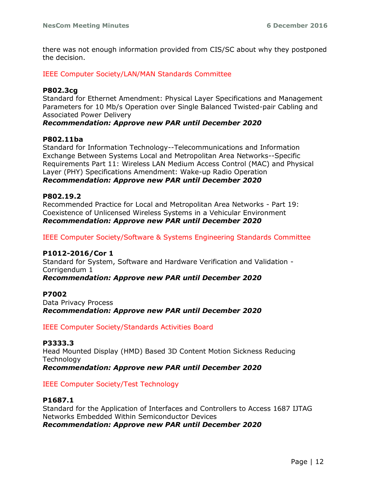there was not enough information provided from CIS/SC about why they postponed the decision.

IEEE Computer Society/LAN/MAN Standards Committee

## **P802.3cg**

Standard for Ethernet Amendment: Physical Layer Specifications and Management Parameters for 10 Mb/s Operation over Single Balanced Twisted-pair Cabling and Associated Power Delivery

#### *Recommendation: Approve new PAR until December 2020*

#### **P802.11ba**

Standard for Information Technology--Telecommunications and Information Exchange Between Systems Local and Metropolitan Area Networks--Specific Requirements Part 11: Wireless LAN Medium Access Control (MAC) and Physical Layer (PHY) Specifications Amendment: Wake-up Radio Operation *Recommendation: Approve new PAR until December 2020*

#### **P802.19.2**

Recommended Practice for Local and Metropolitan Area Networks - Part 19: Coexistence of Unlicensed Wireless Systems in a Vehicular Environment *Recommendation: Approve new PAR until December 2020*

IEEE Computer Society/Software & Systems Engineering Standards Committee

#### **P1012-2016/Cor 1**

Standard for System, Software and Hardware Verification and Validation - Corrigendum 1

## *Recommendation: Approve new PAR until December 2020*

#### **P7002**

Data Privacy Process *Recommendation: Approve new PAR until December 2020*

IEEE Computer Society/Standards Activities Board

#### **P3333.3**

Head Mounted Display (HMD) Based 3D Content Motion Sickness Reducing **Technology** 

*Recommendation: Approve new PAR until December 2020*

#### IEEE Computer Society/Test Technology

# **P1687.1**

Standard for the Application of Interfaces and Controllers to Access 1687 IJTAG Networks Embedded Within Semiconductor Devices *Recommendation: Approve new PAR until December 2020*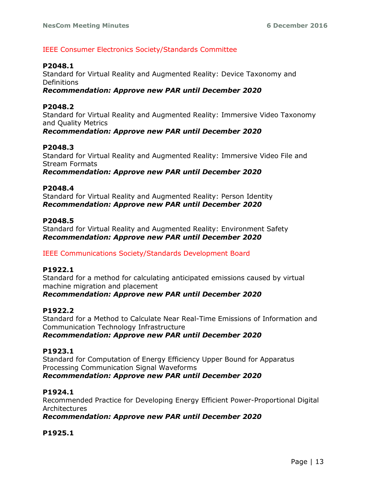# IEEE Consumer Electronics Society/Standards Committee

# **P2048.1**

Standard for Virtual Reality and Augmented Reality: Device Taxonomy and **Definitions** 

# *Recommendation: Approve new PAR until December 2020*

# **P2048.2**

Standard for Virtual Reality and Augmented Reality: Immersive Video Taxonomy and Quality Metrics

# *Recommendation: Approve new PAR until December 2020*

# **P2048.3**

Standard for Virtual Reality and Augmented Reality: Immersive Video File and Stream Formats *Recommendation: Approve new PAR until December 2020*

# **P2048.4**

Standard for Virtual Reality and Augmented Reality: Person Identity *Recommendation: Approve new PAR until December 2020*

#### **P2048.5**

Standard for Virtual Reality and Augmented Reality: Environment Safety *Recommendation: Approve new PAR until December 2020*

# IEEE Communications Society/Standards Development Board

# **P1922.1**

Standard for a method for calculating anticipated emissions caused by virtual machine migration and placement

# *Recommendation: Approve new PAR until December 2020*

# **P1922.2**

Standard for a Method to Calculate Near Real-Time Emissions of Information and Communication Technology Infrastructure *Recommendation: Approve new PAR until December 2020*

# **P1923.1**

Standard for Computation of Energy Efficiency Upper Bound for Apparatus Processing Communication Signal Waveforms *Recommendation: Approve new PAR until December 2020*

# **P1924.1**

Recommended Practice for Developing Energy Efficient Power-Proportional Digital Architectures

# *Recommendation: Approve new PAR until December 2020*

# **P1925.1**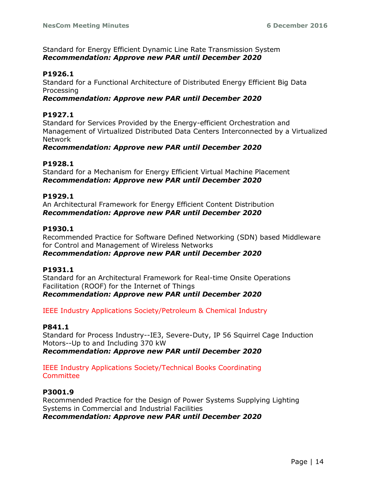Standard for Energy Efficient Dynamic Line Rate Transmission System *Recommendation: Approve new PAR until December 2020*

# **P1926.1**

Standard for a Functional Architecture of Distributed Energy Efficient Big Data Processing

# *Recommendation: Approve new PAR until December 2020*

# **P1927.1**

Standard for Services Provided by the Energy-efficient Orchestration and Management of Virtualized Distributed Data Centers Interconnected by a Virtualized Network

# *Recommendation: Approve new PAR until December 2020*

# **P1928.1**

Standard for a Mechanism for Energy Efficient Virtual Machine Placement *Recommendation: Approve new PAR until December 2020*

# **P1929.1**

An Architectural Framework for Energy Efficient Content Distribution *Recommendation: Approve new PAR until December 2020*

# **P1930.1**

Recommended Practice for Software Defined Networking (SDN) based Middleware for Control and Management of Wireless Networks *Recommendation: Approve new PAR until December 2020*

# **P1931.1**

Standard for an Architectural Framework for Real-time Onsite Operations Facilitation (ROOF) for the Internet of Things *Recommendation: Approve new PAR until December 2020*

IEEE Industry Applications Society/Petroleum & Chemical Industry

# **P841.1**

Standard for Process Industry--IE3, Severe-Duty, IP 56 Squirrel Cage Induction Motors--Up to and Including 370 kW *Recommendation: Approve new PAR until December 2020*

# IEEE Industry Applications Society/Technical Books Coordinating **Committee**

# **P3001.9**

Recommended Practice for the Design of Power Systems Supplying Lighting Systems in Commercial and Industrial Facilities *Recommendation: Approve new PAR until December 2020*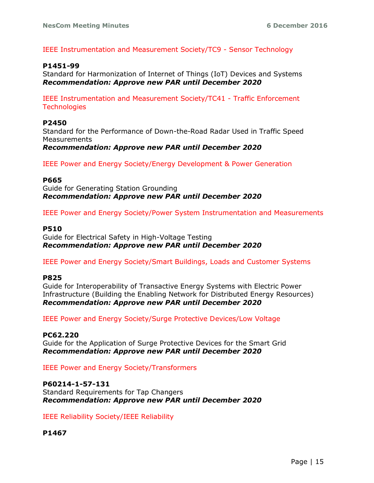IEEE Instrumentation and Measurement Society/TC9 - Sensor Technology

## **P1451-99**

Standard for Harmonization of Internet of Things (IoT) Devices and Systems *Recommendation: Approve new PAR until December 2020*

IEEE Instrumentation and Measurement Society/TC41 - Traffic Enforcement **Technologies** 

#### **P2450**

Standard for the Performance of Down-the-Road Radar Used in Traffic Speed Measurements

*Recommendation: Approve new PAR until December 2020*

IEEE Power and Energy Society/Energy Development & Power Generation

#### **P665**

Guide for Generating Station Grounding *Recommendation: Approve new PAR until December 2020*

IEEE Power and Energy Society/Power System Instrumentation and Measurements

#### **P510**

Guide for Electrical Safety in High-Voltage Testing *Recommendation: Approve new PAR until December 2020*

IEEE Power and Energy Society/Smart Buildings, Loads and Customer Systems

#### **P825**

Guide for Interoperability of Transactive Energy Systems with Electric Power Infrastructure (Building the Enabling Network for Distributed Energy Resources) *Recommendation: Approve new PAR until December 2020*

IEEE Power and Energy Society/Surge Protective Devices/Low Voltage

#### **PC62.220**

Guide for the Application of Surge Protective Devices for the Smart Grid *Recommendation: Approve new PAR until December 2020*

IEEE Power and Energy Society/Transformers

#### **P60214-1-57-131**

Standard Requirements for Tap Changers *Recommendation: Approve new PAR until December 2020*

IEEE Reliability Society/IEEE Reliability

**P1467**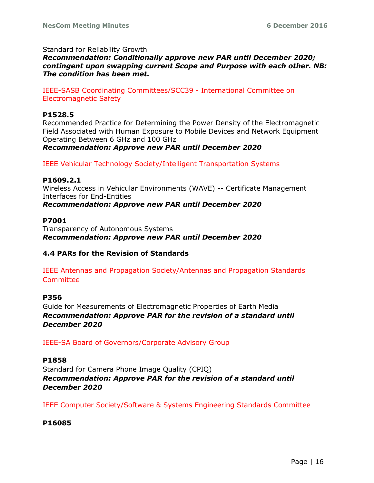Standard for Reliability Growth

*Recommendation: Conditionally approve new PAR until December 2020; contingent upon swapping current Scope and Purpose with each other. NB: The condition has been met.*

IEEE-SASB Coordinating Committees/SCC39 - International Committee on Electromagnetic Safety

# **P1528.5**

Recommended Practice for Determining the Power Density of the Electromagnetic Field Associated with Human Exposure to Mobile Devices and Network Equipment Operating Between 6 GHz and 100 GHz

*Recommendation: Approve new PAR until December 2020*

IEEE Vehicular Technology Society/Intelligent Transportation Systems

# **P1609.2.1**

Wireless Access in Vehicular Environments (WAVE) -- Certificate Management Interfaces for End-Entities *Recommendation: Approve new PAR until December 2020*

# **P7001**

Transparency of Autonomous Systems *Recommendation: Approve new PAR until December 2020*

# **4.4 PARs for the Revision of Standards**

IEEE Antennas and Propagation Society/Antennas and Propagation Standards Committee

# **P356**

Guide for Measurements of Electromagnetic Properties of Earth Media *Recommendation: Approve PAR for the revision of a standard until December 2020*

IEEE-SA Board of Governors/Corporate Advisory Group

# **P1858**

Standard for Camera Phone Image Quality (CPIQ) *Recommendation: Approve PAR for the revision of a standard until December 2020*

IEEE Computer Society/Software & Systems Engineering Standards Committee

# **P16085**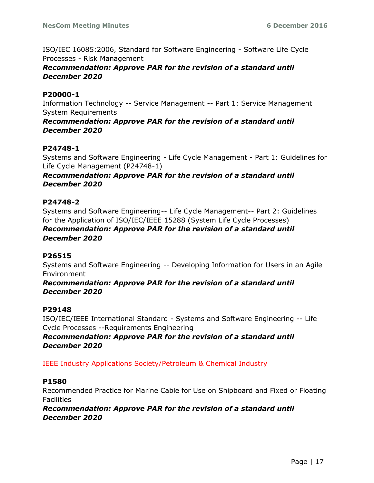ISO/IEC 16085:2006, Standard for Software Engineering - Software Life Cycle Processes - Risk Management

# *Recommendation: Approve PAR for the revision of a standard until December 2020*

# **P20000-1**

Information Technology -- Service Management -- Part 1: Service Management System Requirements

*Recommendation: Approve PAR for the revision of a standard until December 2020*

# **P24748-1**

Systems and Software Engineering - Life Cycle Management - Part 1: Guidelines for Life Cycle Management (P24748-1)

# *Recommendation: Approve PAR for the revision of a standard until December 2020*

# **P24748-2**

Systems and Software Engineering-- Life Cycle Management-- Part 2: Guidelines for the Application of ISO/IEC/IEEE 15288 (System Life Cycle Processes) *Recommendation: Approve PAR for the revision of a standard until December 2020*

# **P26515**

Systems and Software Engineering -- Developing Information for Users in an Agile Environment

*Recommendation: Approve PAR for the revision of a standard until December 2020*

# **P29148**

ISO/IEC/IEEE International Standard - Systems and Software Engineering -- Life Cycle Processes --Requirements Engineering

*Recommendation: Approve PAR for the revision of a standard until December 2020*

IEEE Industry Applications Society/Petroleum & Chemical Industry

# **P1580**

Recommended Practice for Marine Cable for Use on Shipboard and Fixed or Floating **Facilities** 

*Recommendation: Approve PAR for the revision of a standard until December 2020*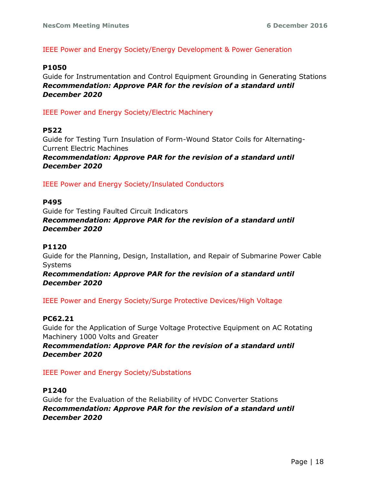# IEEE Power and Energy Society/Energy Development & Power Generation

#### **P1050**

Guide for Instrumentation and Control Equipment Grounding in Generating Stations *Recommendation: Approve PAR for the revision of a standard until December 2020*

IEEE Power and Energy Society/Electric Machinery

#### **P522**

Guide for Testing Turn Insulation of Form-Wound Stator Coils for Alternating-Current Electric Machines

*Recommendation: Approve PAR for the revision of a standard until December 2020*

IEEE Power and Energy Society/Insulated Conductors

#### **P495**

Guide for Testing Faulted Circuit Indicators *Recommendation: Approve PAR for the revision of a standard until December 2020*

# **P1120**

Guide for the Planning, Design, Installation, and Repair of Submarine Power Cable Systems

*Recommendation: Approve PAR for the revision of a standard until December 2020*

IEEE Power and Energy Society/Surge Protective Devices/High Voltage

# **PC62.21**

Guide for the Application of Surge Voltage Protective Equipment on AC Rotating Machinery 1000 Volts and Greater

*Recommendation: Approve PAR for the revision of a standard until December 2020*

IEEE Power and Energy Society/Substations

# **P1240**

Guide for the Evaluation of the Reliability of HVDC Converter Stations *Recommendation: Approve PAR for the revision of a standard until December 2020*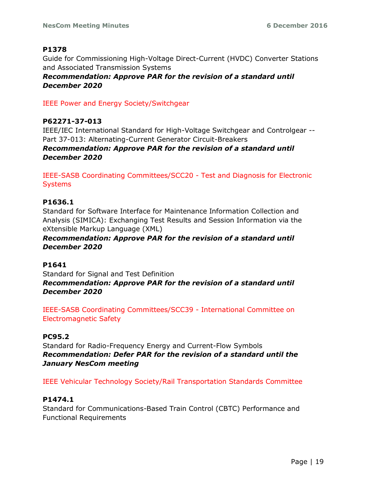# **P1378**

Guide for Commissioning High-Voltage Direct-Current (HVDC) Converter Stations and Associated Transmission Systems

*Recommendation: Approve PAR for the revision of a standard until December 2020*

IEEE Power and Energy Society/Switchgear

# **P62271-37-013**

IEEE/IEC International Standard for High-Voltage Switchgear and Controlgear -- Part 37-013: Alternating-Current Generator Circuit-Breakers

# *Recommendation: Approve PAR for the revision of a standard until December 2020*

IEEE-SASB Coordinating Committees/SCC20 - Test and Diagnosis for Electronic Systems

# **P1636.1**

Standard for Software Interface for Maintenance Information Collection and Analysis (SIMICA): Exchanging Test Results and Session Information via the eXtensible Markup Language (XML)

# *Recommendation: Approve PAR for the revision of a standard until December 2020*

# **P1641**

Standard for Signal and Test Definition *Recommendation: Approve PAR for the revision of a standard until December 2020*

IEEE-SASB Coordinating Committees/SCC39 - International Committee on Electromagnetic Safety

# **PC95.2**

Standard for Radio-Frequency Energy and Current-Flow Symbols *Recommendation: Defer PAR for the revision of a standard until the January NesCom meeting*

IEEE Vehicular Technology Society/Rail Transportation Standards Committee

# **P1474.1**

Standard for Communications-Based Train Control (CBTC) Performance and Functional Requirements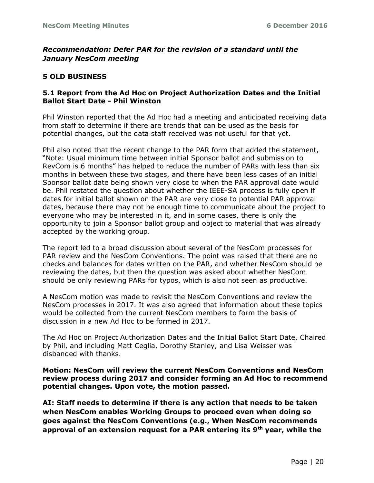# *Recommendation: Defer PAR for the revision of a standard until the January NesCom meeting*

# **5 OLD BUSINESS**

# **5.1 Report from the Ad Hoc on Project Authorization Dates and the Initial Ballot Start Date - Phil Winston**

Phil Winston reported that the Ad Hoc had a meeting and anticipated receiving data from staff to determine if there are trends that can be used as the basis for potential changes, but the data staff received was not useful for that yet.

Phil also noted that the recent change to the PAR form that added the statement, "Note: Usual minimum time between initial Sponsor ballot and submission to RevCom is 6 months" has helped to reduce the number of PARs with less than six months in between these two stages, and there have been less cases of an initial Sponsor ballot date being shown very close to when the PAR approval date would be. Phil restated the question about whether the IEEE-SA process is fully open if dates for initial ballot shown on the PAR are very close to potential PAR approval dates, because there may not be enough time to communicate about the project to everyone who may be interested in it, and in some cases, there is only the opportunity to join a Sponsor ballot group and object to material that was already accepted by the working group.

The report led to a broad discussion about several of the NesCom processes for PAR review and the NesCom Conventions. The point was raised that there are no checks and balances for dates written on the PAR, and whether NesCom should be reviewing the dates, but then the question was asked about whether NesCom should be only reviewing PARs for typos, which is also not seen as productive.

A NesCom motion was made to revisit the NesCom Conventions and review the NesCom processes in 2017. It was also agreed that information about these topics would be collected from the current NesCom members to form the basis of discussion in a new Ad Hoc to be formed in 2017.

The Ad Hoc on Project Authorization Dates and the Initial Ballot Start Date, Chaired by Phil, and including Matt Ceglia, Dorothy Stanley, and Lisa Weisser was disbanded with thanks.

# **Motion: NesCom will review the current NesCom Conventions and NesCom review process during 2017 and consider forming an Ad Hoc to recommend potential changes. Upon vote, the motion passed.**

**AI: Staff needs to determine if there is any action that needs to be taken when NesCom enables Working Groups to proceed even when doing so goes against the NesCom Conventions (e.g., When NesCom recommends approval of an extension request for a PAR entering its 9th year, while the**